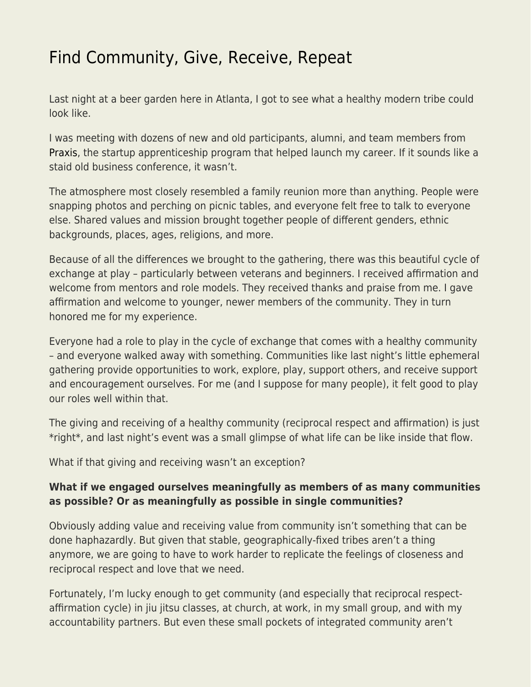## [Find Community, Give, Receive, Repeat](https://everything-voluntary.com/find-community-give-receive-repeat)

Last night at a beer garden here in Atlanta, I got to see what a healthy modern tribe could look like.

I was meeting with dozens of new and old participants, alumni, and team members from [Praxis](https://discoverpraxis.com/), the startup apprenticeship program that helped launch my career. If it sounds like a staid old business conference, it wasn't.

The atmosphere most closely resembled a family reunion more than anything. People were snapping photos and perching on picnic tables, and everyone felt free to talk to everyone else. Shared values and mission brought together people of different genders, ethnic backgrounds, places, ages, religions, and more.

Because of all the differences we brought to the gathering, there was this beautiful cycle of exchange at play – particularly between veterans and beginners. I received affirmation and welcome from mentors and role models. They received thanks and praise from me. I gave affirmation and welcome to younger, newer members of the community. They in turn honored me for my experience.

Everyone had a role to play in the cycle of exchange that comes with a healthy community – and everyone walked away with something. Communities like last night's little ephemeral gathering provide opportunities to work, explore, play, support others, and receive support and encouragement ourselves. For me (and I suppose for many people), it felt good to play our roles well within that.

The giving and receiving of a healthy community (reciprocal respect and affirmation) is just \*right\*, and last night's event was a small glimpse of what life can be like inside that flow.

What if that giving and receiving wasn't an exception?

## **What if we engaged ourselves meaningfully as members of as many communities as possible? Or as meaningfully as possible in single communities?**

Obviously adding value and receiving value from community isn't something that can be done haphazardly. But given that stable, geographically-fixed tribes aren't a thing anymore, we are going to have to work harder to replicate the feelings of closeness and reciprocal respect and love that we need.

Fortunately, I'm lucky enough to get community (and especially that reciprocal respectaffirmation cycle) in jiu jitsu classes, at church, at work, in my small group, and with my accountability partners. But even these small pockets of integrated community aren't